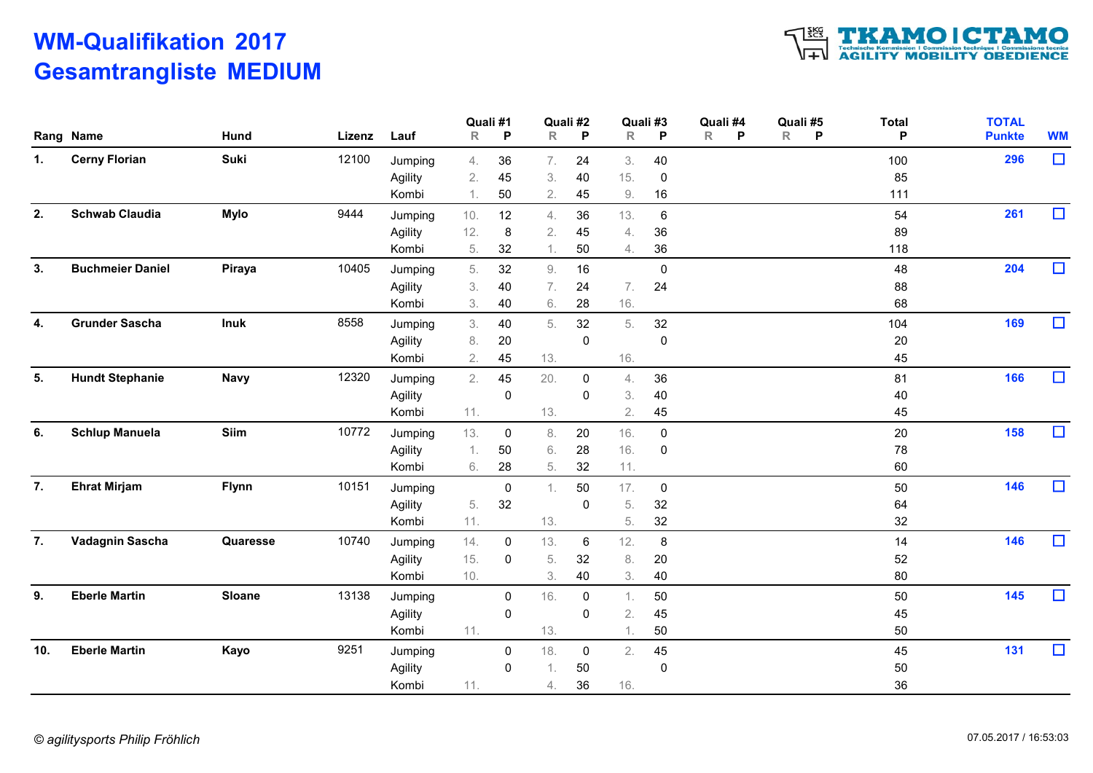## WM-Qualifikation 2017 Gesamtrangliste MEDIUM



|     | Rang Name               | Hund        | Lizenz | Lauf    | $\mathsf{R}$ | Quali #1<br>P | $\mathsf{R}$ | Quali #2<br>$\mathsf{P}$ | $\mathsf{R}$     | Quali #3<br>P  | Quali #4<br>$\mathsf{R}$<br>P | Quali #5<br>$\mathsf{R}$<br>$\mathsf{P}$ | <b>Total</b><br>P | <b>TOTAL</b><br><b>Punkte</b> | <b>WM</b> |
|-----|-------------------------|-------------|--------|---------|--------------|---------------|--------------|--------------------------|------------------|----------------|-------------------------------|------------------------------------------|-------------------|-------------------------------|-----------|
| 1.  | <b>Cerny Florian</b>    | Suki        | 12100  | Jumping | 4.           | 36            | 7.           | 24                       | 3.               | 40             |                               |                                          | 100               | 296                           | $\Box$    |
|     |                         |             |        | Agility | 2.           | 45            | 3.           | 40                       | 15.              | 0              |                               |                                          | 85                |                               |           |
|     |                         |             |        | Kombi   | 1.           | 50            | 2.           | 45                       | 9.               | 16             |                               |                                          | 111               |                               |           |
| 2.  | <b>Schwab Claudia</b>   | <b>Mylo</b> | 9444   | Jumping | 10.          | 12            | 4.           | 36                       | 13.              | 6              |                               |                                          | 54                | 261                           | $\Box$    |
|     |                         |             |        | Agility | 12.          | 8             | 2.           | 45                       | $\overline{4}$ . | $36\,$         |                               |                                          | 89                |                               |           |
|     |                         |             |        | Kombi   | 5.           | 32            | 1.           | 50                       | 4.               | $36\,$         |                               |                                          | 118               |                               |           |
| 3.  | <b>Buchmeier Daniel</b> | Piraya      | 10405  | Jumping | 5.           | 32            | 9.           | 16                       |                  | $\mathbf 0$    |                               |                                          | 48                | 204                           | $\Box$    |
|     |                         |             |        | Agility | 3.           | 40            | 7.           | 24                       | 7.               | 24             |                               |                                          | 88                |                               |           |
|     |                         |             |        | Kombi   | 3.           | 40            | 6.           | 28                       | 16.              |                |                               |                                          | 68                |                               |           |
| 4.  | <b>Grunder Sascha</b>   | Inuk        | 8558   | Jumping | 3.           | 40            | 5.           | 32                       | 5.               | 32             |                               |                                          | 104               | 169                           | $\Box$    |
|     |                         |             |        | Agility | 8.           | $20\,$        |              | $\mathbf 0$              |                  | 0              |                               |                                          | 20                |                               |           |
|     |                         |             |        | Kombi   | 2.           | 45            | 13.          |                          | 16.              |                |                               |                                          | 45                |                               |           |
| 5.  | <b>Hundt Stephanie</b>  | <b>Navy</b> | 12320  | Jumping | 2.           | 45            | 20.          | $\mathbf 0$              | $\overline{4}$ . | 36             |                               |                                          | 81                | 166                           | $\Box$    |
|     |                         |             |        | Agility |              | $\pmb{0}$     |              | 0                        | 3.               | 40             |                               |                                          | 40                |                               |           |
|     |                         |             |        | Kombi   | 11.          |               | 13.          |                          | 2.               | 45             |                               |                                          | 45                |                               |           |
| 6.  | <b>Schlup Manuela</b>   | Siim        | 10772  | Jumping | 13.          | $\mathbf 0$   | 8.           | 20                       | 16.              | $\mathbf 0$    |                               |                                          | 20                | 158                           | $\Box$    |
|     |                         |             |        | Agility | 1.           | 50            | 6.           | 28                       | 16.              | $\mathbf 0$    |                               |                                          | 78                |                               |           |
|     |                         |             |        | Kombi   | 6.           | 28            | 5.           | 32                       | 11.              |                |                               |                                          | 60                |                               |           |
| 7.  | <b>Ehrat Mirjam</b>     | Flynn       | 10151  | Jumping |              | $\mathsf 0$   | 1.           | 50                       | 17.              | $\mathbf 0$    |                               |                                          | 50                | 146                           | $\Box$    |
|     |                         |             |        | Agility | 5.           | 32            |              | $\mathbf 0$              | 5.               | 32             |                               |                                          | 64                |                               |           |
|     |                         |             |        | Kombi   | 11.          |               | 13.          |                          | 5.               | 32             |                               |                                          | 32                |                               |           |
| 7.  | Vadagnin Sascha         | Quaresse    | 10740  | Jumping | 14.          | $\mathbf 0$   | 13.          | 6                        | 12.              | 8              |                               |                                          | 14                | 146                           | $\Box$    |
|     |                         |             |        | Agility | 15.          | 0             | 5.           | 32                       | 8.               | 20             |                               |                                          | 52                |                               |           |
|     |                         |             |        | Kombi   | 10.          |               | 3.           | 40                       | 3.               | 40             |                               |                                          | 80                |                               |           |
| 9.  | <b>Eberle Martin</b>    | Sloane      | 13138  | Jumping |              | $\pmb{0}$     | 16.          | $\mathsf 0$              | 1.               | $50\,$         |                               |                                          | 50                | 145                           | $\Box$    |
|     |                         |             |        | Agility |              | $\mathbf 0$   |              | 0                        | 2.               | 45             |                               |                                          | 45                |                               |           |
|     |                         |             |        | Kombi   | 11.          |               | 13.          |                          | 1.               | $50\,$         |                               |                                          | 50                |                               |           |
| 10. | <b>Eberle Martin</b>    | Kayo        | 9251   | Jumping |              | 0             | 18.          | $\mathbf 0$              | 2.               | 45             |                               |                                          | 45                | 131                           | $\Box$    |
|     |                         |             |        | Agility |              | 0             |              | 50                       |                  | $\overline{0}$ |                               |                                          | 50                |                               |           |
|     |                         |             |        | Kombi   | 11.          |               | 4.           | 36                       | 16.              |                |                               |                                          | 36                |                               |           |
|     |                         |             |        |         |              |               |              |                          |                  |                |                               |                                          |                   |                               |           |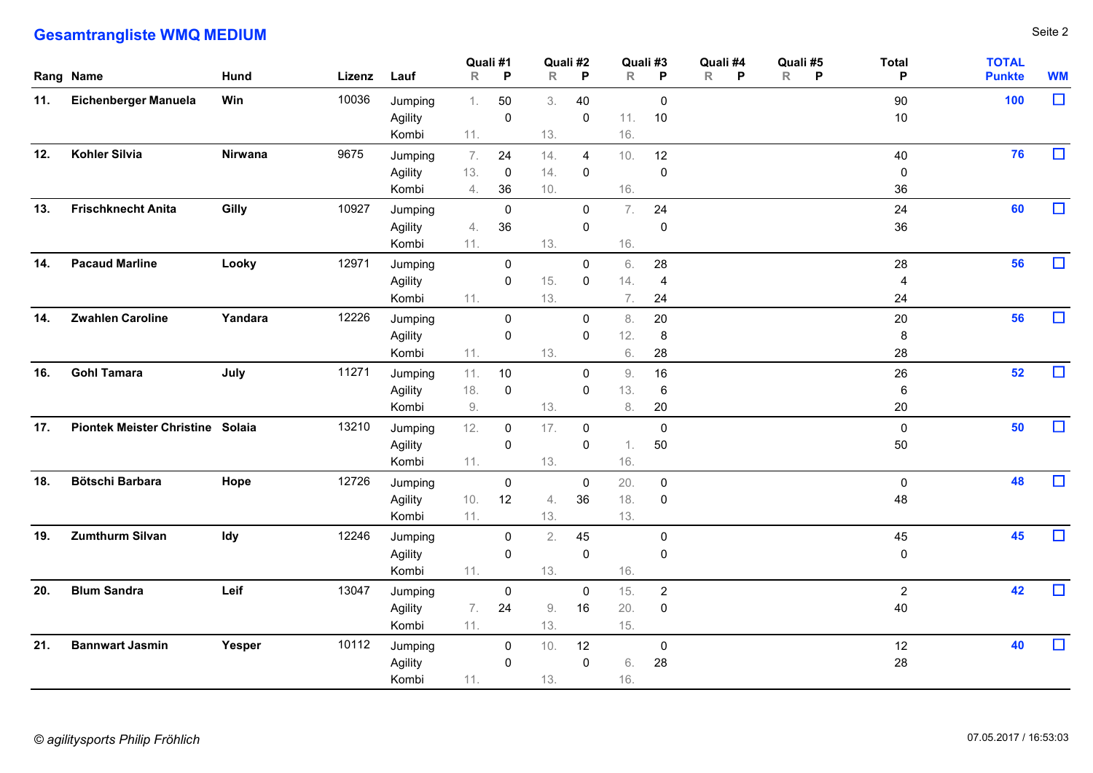## **Gesamtrangliste WMQ MEDIUM** Seite 2

|     | <b>Gesamtrangliste WMQ MEDIUM</b>    |             |             |                    |              |                                  |     |                            |           |                            |          |          |                |               | Seite 2   |
|-----|--------------------------------------|-------------|-------------|--------------------|--------------|----------------------------------|-----|----------------------------|-----------|----------------------------|----------|----------|----------------|---------------|-----------|
|     |                                      |             |             |                    |              | Quali #1                         |     | Quali #2                   |           | Quali #3                   | Quali #4 | Quali #5 | <b>Total</b>   | <b>TOTAL</b>  |           |
|     | Rang Name                            | <b>Hund</b> | Lizenz Lauf |                    | $\mathsf{R}$ | $\mathsf{P}$                     | R   | P                          |           | $R$ $P$                    | R<br>P   | R<br>- P | P              | <b>Punkte</b> | <b>WM</b> |
| 11. | Eichenberger Manuela                 | Win         | 10036       | Jumping            | 1.           | 50                               | 3.  | 40                         |           | $\mathbf 0$                |          |          | 90             | 100           | $\Box$    |
|     |                                      |             |             | Agility            |              | $\mathbf 0$                      |     | 0                          | 11.       | 10                         |          |          | 10             |               |           |
|     |                                      |             |             | Kombi              | 11.          |                                  | 13. |                            | 16.       |                            |          |          |                |               |           |
| 12. | <b>Kohler Silvia</b>                 | Nirwana     | 9675        | Jumping            | 7.           | 24                               | 14. | $\overline{4}$             | 10.       | 12                         |          |          | 40             | 76            | $\Box$    |
|     |                                      |             |             | Agility            | 13.          | $\overline{0}$                   | 14. | $\mathbf 0$                |           | $\mathbf 0$                |          |          | 0              |               |           |
| 13. | <b>Frischknecht Anita</b>            |             |             | Kombi              | 4.           | $36\,$                           | 10. |                            | 16.       |                            |          |          | 36             | 60            | $\Box$    |
|     |                                      | Gilly       | 10927       | Jumping<br>Agility | 4.           | $\mathbf 0$<br>36                |     | $\mathbf 0$<br>$\mathbf 0$ | 7.        | 24<br>0                    |          |          | 24<br>36       |               |           |
|     |                                      |             |             | Kombi              | 11.          |                                  | 13. |                            | 16.       |                            |          |          |                |               |           |
| 14. | <b>Pacaud Marline</b>                | Looky       | 12971       | Jumping            |              | $\mathbf 0$                      |     | $\mathbf 0$                | 6.        | 28                         |          |          | 28             | 56            | $\Box$    |
|     |                                      |             |             | Agility            |              | $\mathbf 0$                      | 15. | $\mathbf 0$                | 14.       | $\overline{4}$             |          |          | 4              |               |           |
|     |                                      |             |             | Kombi              | 11.          |                                  | 13. |                            | 7.        | 24                         |          |          | 24             |               |           |
| 14. | <b>Zwahlen Caroline</b>              | Yandara     | 12226       | Jumping            |              | $\mathbf 0$                      |     | 0                          | 8.        | 20                         |          |          | 20             | 56            | $\Box$    |
|     |                                      |             |             | Agility            |              | $\mathbf 0$                      |     | $\mathbf 0$                | 12.       | 8                          |          |          | 8              |               |           |
|     |                                      |             |             | Kombi              | 11.          |                                  | 13. |                            | 6.        | 28                         |          |          | 28             |               |           |
| 16. | <b>Gohl Tamara</b>                   | July        | 11271       | Jumping<br>Agility | 18.          | 11. 10<br>$\mathbf 0$            |     | $\mathbf 0$<br>0           | 9.<br>13. | 16<br>6                    |          |          | 26<br>6        | 52            | $\Box$    |
|     |                                      |             |             | Kombi              | 9.           |                                  | 13. |                            | 8.        | 20                         |          |          | 20             |               |           |
|     | 17. Piontek Meister Christine Solaia |             | 13210       | Jumping            | 12.          | $\overline{0}$                   | 17. | $\mathbf 0$                |           | $\mathbf 0$                |          |          | $\mathbf 0$    | 50            | $\Box$    |
|     |                                      |             |             | Agility            |              | $\mathbf 0$                      |     | 0                          | 1.        | 50                         |          |          | 50             |               |           |
|     |                                      |             |             | Kombi              | 11.          |                                  | 13. |                            | 16.       |                            |          |          |                |               |           |
| 18. | Bötschi Barbara                      | Hope        | 12726       | Jumping            |              | $\overline{0}$                   |     | $\overline{0}$             | 20.       | $\overline{0}$             |          |          | $\mathbf 0$    | 48            | $\Box$    |
|     |                                      |             |             | Agility            | 10.          | 12                               | 4.  | 36                         | 18.       | 0                          |          |          | 48             |               |           |
|     |                                      |             |             | Kombi              | 11.          |                                  | 13. |                            | 13.       |                            |          |          |                |               |           |
|     | 19. Zumthurm Silvan                  | Idy         | 12246       | Jumping<br>Agility |              | $\overline{0}$<br>$\overline{0}$ | 2.  | 45<br>$\mathbf 0$          |           | $\mathbf 0$<br>$\mathbf 0$ |          |          | 45<br>0        |               | 45 $\Box$ |
|     |                                      |             |             | Kombi              | 11.          |                                  | 13. |                            | 16.       |                            |          |          |                |               |           |
|     | 20. Blum Sandra                      | Leif        | 13047       | Jumping            |              | $\overline{0}$                   |     | $\overline{0}$             | 15.       | $\overline{2}$             |          |          | $\overline{2}$ | 42            | $\Box$    |
|     |                                      |             |             | Agility            | 7.           | 24                               | 9.  | 16                         | 20.       | $\mathbf 0$                |          |          | 40             |               |           |
|     |                                      |             |             | Kombi              | 11.          |                                  | 13. |                            | 15.       |                            |          |          |                |               |           |
|     | 21. Bannwart Jasmin                  | Yesper      | 10112       | Jumping            |              | $\overline{0}$                   | 10. | 12                         |           | $\mathbf 0$                |          |          | 12             | 40            | $\Box$    |
|     |                                      |             |             | Agility            |              | $\mathbf 0$                      |     | $\mathbf 0$                | 6.        | 28                         |          |          | 28             |               |           |
|     |                                      |             |             | Kombi              | 11.          |                                  | 13. |                            | 16.       |                            |          |          |                |               |           |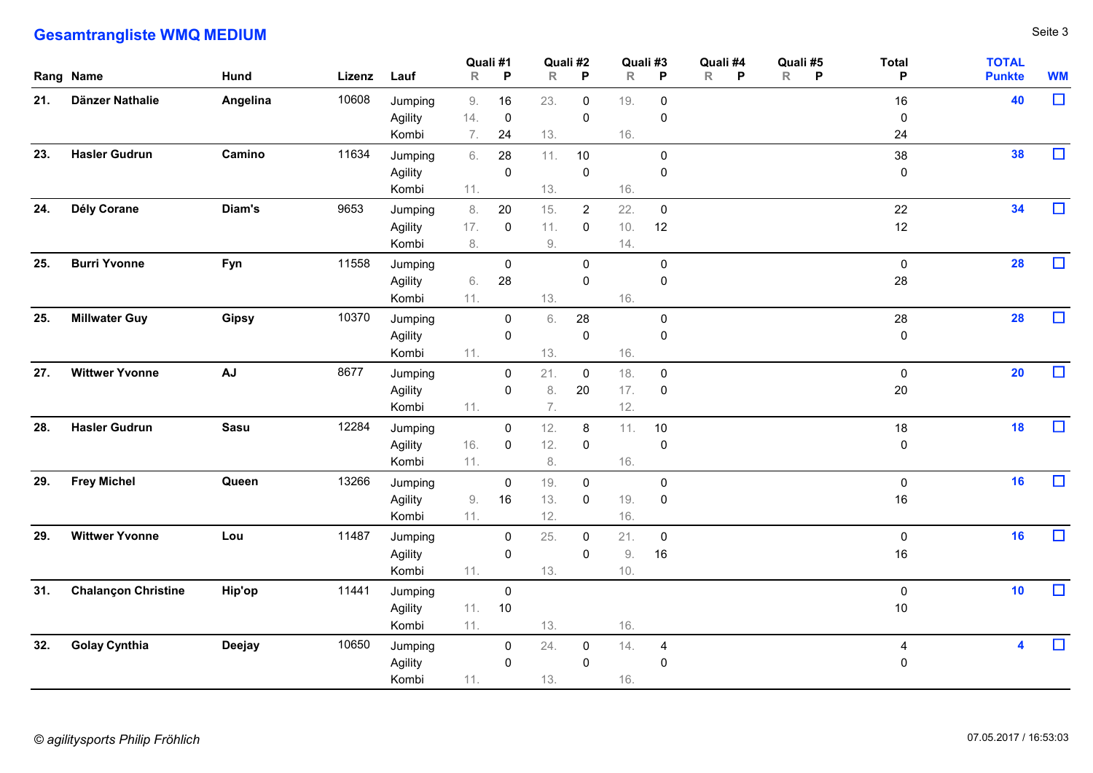## **Gesamtrangliste WMQ MEDIUM** Seite 3

|     | <b>Gesamtrangliste WMQ MEDIUM</b> |               |             |                             |                 |                                  |                       |                               |                         |                               |                                                                |                       |                               | Seite 3   |
|-----|-----------------------------------|---------------|-------------|-----------------------------|-----------------|----------------------------------|-----------------------|-------------------------------|-------------------------|-------------------------------|----------------------------------------------------------------|-----------------------|-------------------------------|-----------|
|     | Rang Name                         | <b>Hund</b>   | Lizenz Lauf |                             | $\mathsf{R}$    | Quali #1<br>$\mathsf{P}$         | $\mathsf{R}$          | Quali #2<br>P                 | Quali #3<br>R           | $\mathsf{P}$                  | Quali #4<br>Quali #5<br>R<br>$\mathsf{P}$<br>R<br>$\mathsf{P}$ | <b>Total</b><br>P     | <b>TOTAL</b><br><b>Punkte</b> | <b>WM</b> |
| 21. | Dänzer Nathalie                   | Angelina      | 10608       | Jumping<br>Agility<br>Kombi | 9.<br>14.<br>7. | 16<br>$\overline{0}$<br>24       | 23.<br>13.            | $\mathbf 0$<br>$\mathbf 0$    | 19.<br>16.              | $\mathbf 0$<br>0              |                                                                | 16<br>0<br>24         | 40                            | $\Box$    |
| 23. | <b>Hasler Gudrun</b>              | Camino        | 11634       | Jumping<br>Agility<br>Kombi | 6.<br>11.       | 28<br>$\mathbf 0$                | 11.<br>13.            | 10<br>$\mathsf 0$             | 16.                     | $\mathbf 0$<br>$\mathbf 0$    |                                                                | 38<br>$\mathbf 0$     | 38                            | $\Box$    |
| 24. | Dély Corane                       | Diam's        | 9653        | Jumping<br>Agility<br>Kombi | 8.<br>17.<br>8. | 20<br>$\mathbf 0$                | 15.<br>11.<br>$9. \,$ | $\overline{2}$<br>$\mathbf 0$ | 22.<br>10.<br>14.       | $\mathbf 0$<br>12             |                                                                | 22<br>12              | 34                            | $\Box$    |
| 25. | <b>Burri Yvonne</b>               | Fyn           | 11558       | Jumping<br>Agility<br>Kombi | 6.<br>11.       | $\mathbf 0$<br>28                | 13.                   | $\mathbf 0$<br>$\mathbf 0$    | 16.                     | $\mathbf 0$<br>$\mathbf 0$    |                                                                | 0<br>28               | 28                            | $\Box$    |
|     | 25. Millwater Guy                 | Gipsy         | 10370       | Jumping<br>Agility<br>Kombi | 11.             | $\mathbf 0$<br>$\overline{0}$    | 6.<br>13.             | 28<br>$\mathbf 0$             | 16.                     | $\mathbf 0$<br>$\mathbf 0$    |                                                                | 28<br>$\mathbf 0$     | <b>28</b>                     | $\Box$    |
| 27. | <b>Wittwer Yvonne</b>             | AJ            | 8677        | Jumping<br>Agility<br>Kombi | 11.             | $\overline{0}$<br>$\overline{0}$ | 21.<br>8.<br>7.       | $\overline{0}$<br>20          | 18.<br>17.<br>12.       | $\mathbf 0$<br>$\mathbf 0$    |                                                                | $\mathbf 0$<br>20     | 20                            | $\Box$    |
|     | 28. Hasler Gudrun                 | Sasu          | 12284       | Jumping<br>Agility<br>Kombi | 16.<br>11.      | $\mathbf 0$<br>$\mathbf 0$       | 12.<br>12.<br>8.      | 8<br>$\mathbf 0$              | 11.<br>16.              | 10<br>$\pmb{0}$               |                                                                | 18<br>0               | 18                            | $\Box$    |
|     | 29. Frey Michel                   | Queen         | 13266       | Jumping<br>Agility<br>Kombi | 9.<br>11.       | $\overline{0}$<br>16             | 19.<br>13.<br>12.     | $\mathbf 0$<br>$\mathbf 0$    | 19.<br>16.              | $\mathbf 0$<br>$\mathbf 0$    |                                                                | $\mathbf 0$<br>$16\,$ | 16                            | $\Box$    |
|     | 29. Wittwer Yvonne                | Lou           | 11487       | Jumping<br>Agility<br>Kombi | 11.             | $\overline{0}$<br>$\mathbf 0$    | 25.<br>13.            | $\mathbf 0$<br>$\mathbf 0$    | 21.<br>$9. \,$<br>$10.$ | $\overline{0}$<br>16          |                                                                | $\mathbf 0$<br>16     | 16                            | $\Box$    |
|     | 31. Chalançon Christine           | <b>Hip'op</b> | 11441       | Jumping<br>Agility<br>Kombi | 11.             | $\overline{0}$<br>11. 10         | 13.                   |                               | 16.                     |                               |                                                                | $\mathbf 0$<br>$10\,$ | 10                            | $\Box$    |
|     | 32. Golay Cynthia                 | Deejay        | 10650       | Jumping<br>Agility<br>Kombi | 11.             | $\overline{0}$<br>$\overline{0}$ | 24.<br>13.            | $\mathbf 0$<br>$\mathbf 0$    | 14.<br>16.              | $\overline{a}$<br>$\mathbf 0$ |                                                                | 4<br>$\mathbf 0$      | $\overline{\mathbf{4}}$       | $\Box$    |